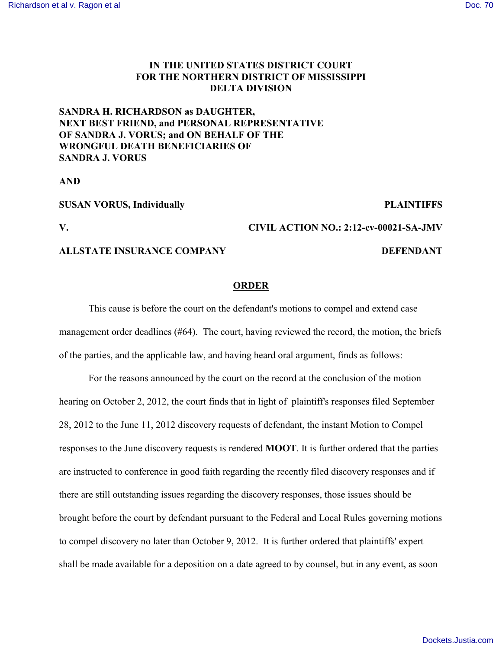## **IN THE UNITED STATES DISTRICT COURT FOR THE NORTHERN DISTRICT OF MISSISSIPPI DELTA DIVISION**

## **SANDRA H. RICHARDSON as DAUGHTER, NEXT BEST FRIEND, and PERSONAL REPRESENTATIVE OF SANDRA J. VORUS; and ON BEHALF OF THE WRONGFUL DEATH BENEFICIARIES OF SANDRA J. VORUS**

**AND**

| <b>SUSAN VORUS, Individually</b> | <b>PLAINTIFFS</b>                      |
|----------------------------------|----------------------------------------|
| V.                               | CIVIL ACTION NO.: 2:12-cv-00021-SA-JMV |
| ALLSTATE INSURANCE COMPANY       | <b>DEFENDANT</b>                       |

## **ORDER**

This cause is before the court on the defendant's motions to compel and extend case management order deadlines (#64). The court, having reviewed the record, the motion, the briefs of the parties, and the applicable law, and having heard oral argument, finds as follows:

For the reasons announced by the court on the record at the conclusion of the motion hearing on October 2, 2012, the court finds that in light of plaintiff's responses filed September 28, 2012 to the June 11, 2012 discovery requests of defendant, the instant Motion to Compel responses to the June discovery requests is rendered **MOOT**. It is further ordered that the parties are instructed to conference in good faith regarding the recently filed discovery responses and if there are still outstanding issues regarding the discovery responses, those issues should be brought before the court by defendant pursuant to the Federal and Local Rules governing motions to compel discovery no later than October 9, 2012. It is further ordered that plaintiffs' expert shall be made available for a deposition on a date agreed to by counsel, but in any event, as soon